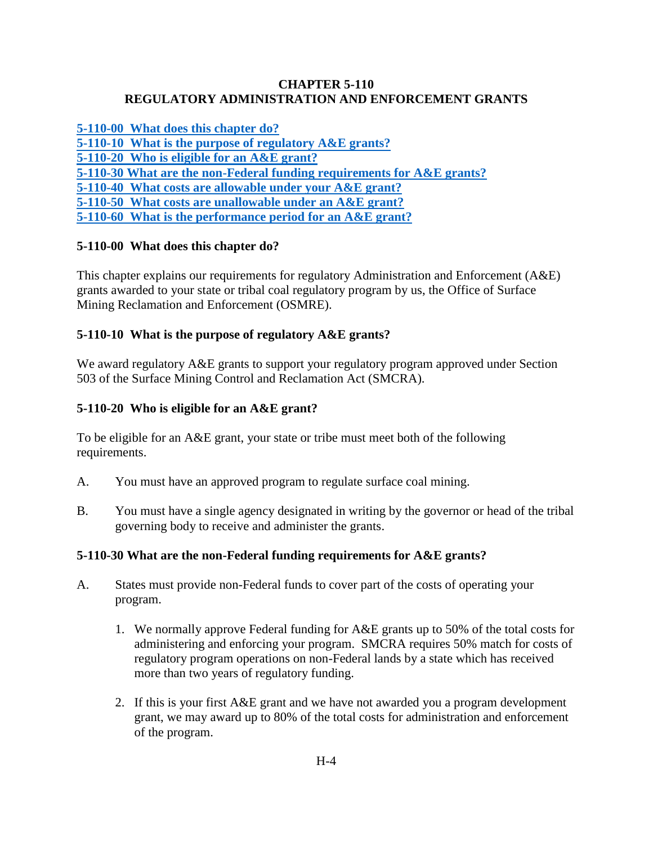#### **CHAPTER 5-110 REGULATORY ADMINISTRATION AND ENFORCEMENT GRANTS**

<span id="page-0-0"></span>**5-110-00 What [does this chapter do?](#page-0-0) [5-110-10 What is the purpose of regulatory A&E grants?](#page-0-1) [5-110-20 Who is eligible for an A&E grant?](#page-0-2) [5-110-30 What are the non-Federal funding requirements for A&E grants?](#page-0-3) [5-110-40 What costs are allowable under your A&E grant?](#page-1-0) [5-110-50 What costs are unallowable under an A&E grant?](#page-1-1)**

# **[5-110-60 What is the performance period for an A&E grant?](#page-1-2)**

## **5-110-00 What does this chapter do?**

This chapter explains our requirements for regulatory Administration and Enforcement (A&E) grants awarded to your state or tribal coal regulatory program by us, the Office of Surface Mining Reclamation and Enforcement (OSMRE).

## <span id="page-0-1"></span>**5-110-10 What is the purpose of regulatory A&E grants?**

We award regulatory A&E grants to support your regulatory program approved under Section 503 of the Surface Mining Control and Reclamation Act (SMCRA).

## <span id="page-0-2"></span>**5-110-20 Who is eligible for an A&E grant?**

To be eligible for an A&E grant, your state or tribe must meet both of the following requirements.

- A. You must have an approved program to regulate surface coal mining.
- B. You must have a single agency designated in writing by the governor or head of the tribal governing body to receive and administer the grants.

## <span id="page-0-3"></span>**5-110-30 What are the non-Federal funding requirements for A&E grants?**

- A. States must provide non-Federal funds to cover part of the costs of operating your program.
	- 1. We normally approve Federal funding for A&E grants up to 50% of the total costs for administering and enforcing your program. SMCRA requires 50% match for costs of regulatory program operations on non-Federal lands by a state which has received more than two years of regulatory funding.
	- 2. If this is your first A&E grant and we have not awarded you a program development grant, we may award up to 80% of the total costs for administration and enforcement of the program.